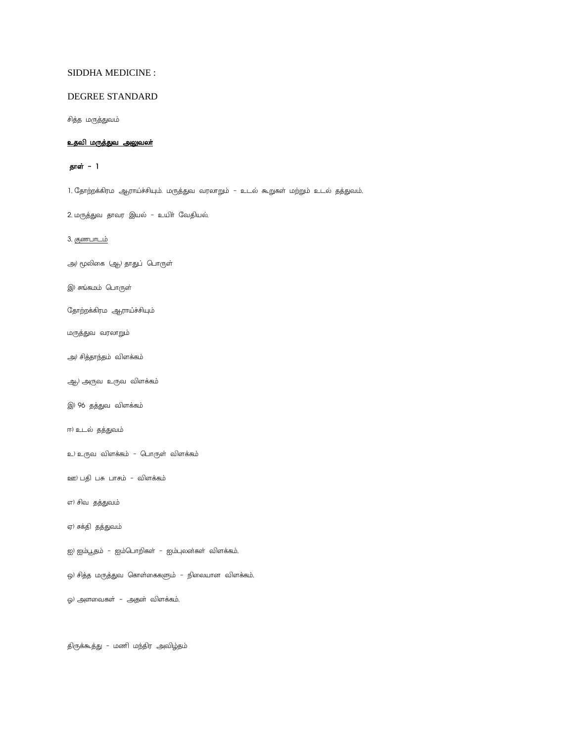# SIDDHA MEDICINE :

# DEGREE STANDARD

சித்த மருத்துவம்

## <u>உதவி மருத்துவ அலுவலா்</u>

# தாள் - 1

1, தோற்றக்கிரம ஆராய்ச்சியும். மருத்துவ வரலாறும் – உடல் கூறுகள் மற்றும் உடல் தத்துவம்,

2, மருத்துவ தாவர இயல் – உயிா் வேதியல்,

3, <u>குணபாடம்</u>

அ) மூலிகை (ஆ<sub>)</sub>) தாதுப் பொருள்

இ) சங்கமம் பொருள்

தோற்றக்கிரம ஆராய்ச்சியும்

மருத்துவ வரலாறும்

அ) சித்தாந்தம் விளக்கம்

ஆ) அருவ உருவ விளக்கம்

இ) 96 தத்துவ விளக்கம்

ஈ) உடல் தத்துவம்

உ) உருவ விளக்கம் – பொருள் விளக்கம்

ஊ) பதி பசு பாசம் – விளக்கம்

எ) சிவ தத்துவம்

ஏ) சக்தி தத்துவம்

ஐ) ஐம்பூதம் – ஐம்பொறிகள் – ஐம்புலன்கள் விளக்கம்,

ஓ) சித்த மருத்துவ கொள்கைகளும் – நிலையான விளக்கம்,

ஓ) அளவைகள் – அதன் விளக்கம்,

திருக்கூத்து – மணி மந்திர அவிழ்தம்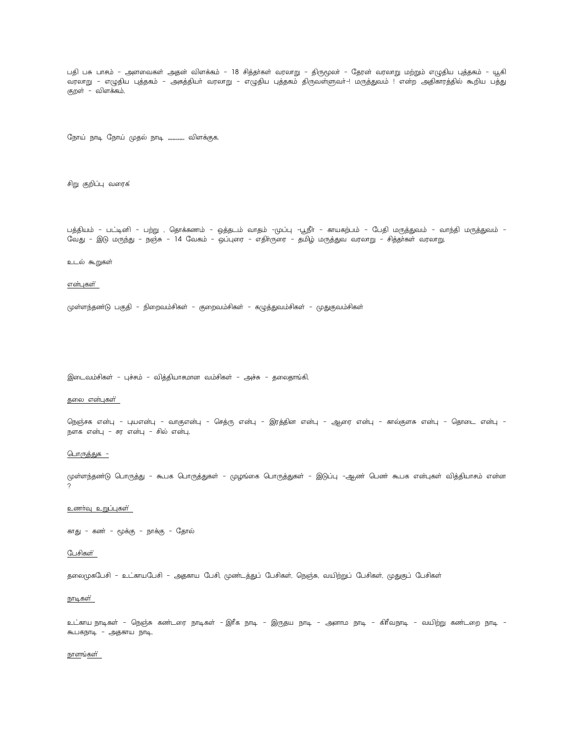பதி பசு பாசம் – அளவைகள் அதன் விளக்கம் – 18 சித்தா்கள் வரலாறு – திருமூலா் – தேரன் வரலாறு மற்றும் எழுதிய புத்தகம் – யூகி வரலாறு – எழுதிய புத்தகம் – அகத்தியா் வரலாறு – எழுதிய புத்தகம் திருவள்ளுவா்–! மருத்துவம் ! என்ற அதிகாரத்தில் கூறிய பத்து குறள் – விளக்கம்,

நோய் நாடி நோய் முதல் நாடி ................. விளக்குக,

சிறு குறிப்பு வரைக்

பத்தியம் – பட்டினி – பற்று , தொக்கணம் – ஒத்தடம் வாதம் –முப்பு –பூநீா – காயகற்பம் – பேதி மருத்துவம் – வாந்தி மருத்துவம் – வேது – இடு மருந்து – நஞ்சு – 14 வேகம் – ஒப்புரை – எதிாருரை – தமிழ் மருத்துவ வரலாறு – சித்தா்கள் வரலாறு

### உடல் கூறுகள்

### <u>என்புகள் </u>

முள்ளந்தண்டு பகுதி – நிறைவம்சிகள் – குறைவம்சிகள் – கழுத்துவம்சிகள் – முதுகுவம்சிகள்

இடைவம்சிகள் – புச்சம் – வித்தியாசுமான வம்சிகள் – அச்சு – தலைதாங்கி,

### தலை என்புகள்<u>்</u>

நெஞ்சக என்பு – புயஎன்பு – வாகுஎன்பு – செத்ரு என்பு – இரத்தின என்பு – ஆரை என்பு – கால்குளசு என்பு – தொடை என்பு – நளக என்பு - சர என்பு - சில் என்பு,

<u> பொருத்துக –</u>

முள்ளந்தண்டு பொருத்து – கூபக பொருத்துகள் – முழங்கை பொருத்துகள் – இடுப்பு –ஆண் பெண் கூபக என்புகள் வித்தியாசும் என்ன

### உணர்வு உறுப்புகள்

காது – கண் – மூக்கு – நாக்கு – தோல்

#### பேசிகள்

தலைமுகபேசி – உட்காயபேசி – அதகாய பேசி, முண்டத்துப் பேசிகள், நெஞ்சு, வயிற்றுப் பேசிகள், முதுகுப் பேசிகள்

### <u>நாடிகள்</u>

உட்காய நாடிகள் – நெஞ்சு கண்டரை நாடிகள் – இரீக நாடி – இருதய நாடி – அனாம நாடி – கிரீவநாடி – வயிற்று கண்டறை நாடி – கூடுகநாடி - அதகாய நாடி,

#### <u>நாளங்கள்</u>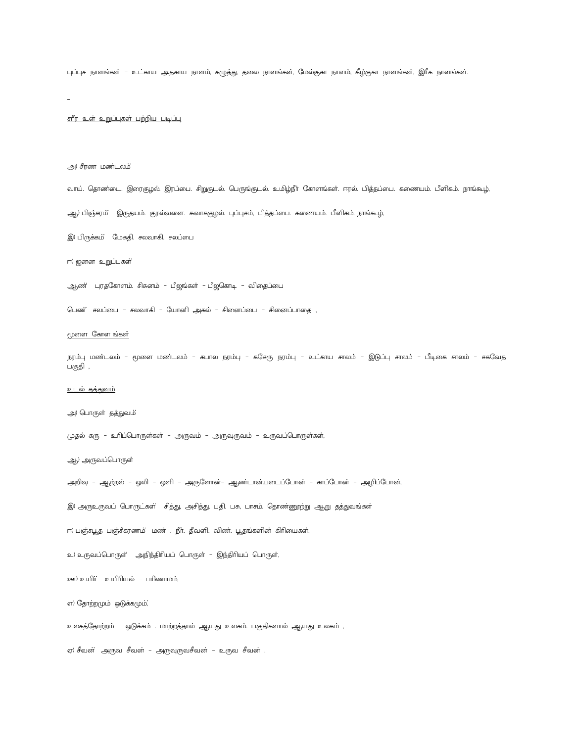புப்புச நாளங்கள் – உட்காய அதகாய நாளம், கழுத்து, தலை நாளங்கள், மேல்குகா நாளம், கீழ்குகா நாளங்கள், இரீக நாளங்கள்.

# <u>சுரீர உள் உறுப்புகள் பற்றிய படிப்பு</u>

### அ) சீரண மண்டலம்

வாய். தொண்டை. இரைகுழல். இரப்பை. சிறுகுடல். பெருங்குடல். உமிழ்நீா் கோளங்கள். ஈரல். பித்தப்பை. கணையம். பீளிகம். நாங்கூழ்,

ஆ) பிஞ்சரம் இருதயம். குரல்வளை. சுவாசகுழல். புப்புசம், பித்தப்பை. கணையம். பீளிகம். நாங்கூழ்,

இ) பிருக்கம் மேகதி. சலவாகி. சலப்பை

ஈ) ஜனன உறுப்புகள்

ஆண் புரதகோளம். சிசுனம் – பீஜங்கள் – பீஜகொடி – விதைப்பை

பெண் சலப்பை - சலவாகி - யோனி அகல் - சினைப்பை - சினைப்பாதை ,

### மூளை கோள ங்கள்

நரம்பு மண்டலம் – மூளை மண்டலம் – கபால நரம்பு – கசேரு நரம்பு – உட்காய சாலம் – இடுப்பு சாலம் – பீடிகை சாலம் – சகவேத பகுதி ,

### <u>உடல் தத்துவம்</u>

அ) பொருள் தத்துவம்

முதல் கரு - உரிப்பொருள்கள் - அருவம் - அருவுருவம் - உருவப்பொருள்கள்,

ஆ) அருவப்பொருள்

அறிவு – ஆற்றல் – ஒலி – ஒளி – அருளோன்– ஆண்டான்படைப்போன் – காப்போன் – அழிப்போன்,

இ) அருஉருவப் பொருட்கள் சித்து, அசித்து, பதி. பசு, பாசும். தொண்ணூற்று ஆறு தத்துவங்கள்

ஈ) பஞ்சபூத பஞ்சீகரணம் மண் . நீா். தீவளி. விண். பூதங்களின் கிாியைகள்,

உ) உருவப்பொருள் அநிந்திரியப் பொருள் – இந்திரியப் பொருள்,

ஊ) உயிர் உயிரியல் - பரிணாமம்,

எ) தோற்றமும் ஒடுக்கமும்;

உலகத்தோற்றம் – ஒடுக்கம் . மாற்றத்தால் ஆயது உலகம். பகுதிகளால் ஆயது உலகம் ,

ஏ) சீவன் அருவ சீவன் - அருவுருவசீவன் - உருவ சீவன் ,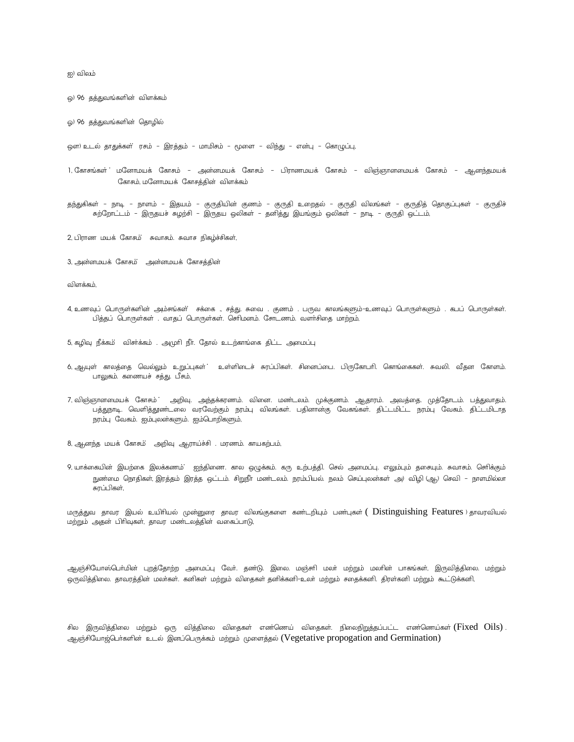ஐ) விலம்

ஒ) 96 தத்துவங்களின் விளக்கம்

ஓ) 96 தத்துவங்களின் தொழில்

ஒள) உடல் தாதுக்கள் ரசம் – இரத்தம் – மாமிசம் – மூளை – விந்து – என்பு – கொழுப்பு,

- 1. கோசங்கள் மனோமயக் கோசும் அன்னமயக் கோசும் பிராணமயக் கோசும் விஞ்ஞானமையக் கோசும் ஆனந்தமயக் கோசம், மனோமயக் கோசத்தின் விளக்கம்
- தந்துகிகள் நாடி நாளம் இதயம் குருதியின் குணம் குருதி உறைதல் குருதி விலங்கள் குருதித் தொகுப்புகள் குருதிச் சுற்றோட்டம் – இருதயச் சுழற்சி – இருதய ஒலிகள் – தனித்து இயங்கும் ஒலிகள் – நாடி – குருதி ஒட்டம்,

2, பிராண மயக் கோசம் சுவாசும். சுவாச நிகழ்ச்சிகள்,

3, அன்னமயக் கோசம் அன்னமயக் கோசத்தின்

விளக்கம்,

4 உணவுப் பொருள்களின் அம்சங்கள் சக்கை , சத்து சுவை . குணம் . பருவ காலங்களும்–உணவுப் பொருள்களும் . கபப் பொருள்கள். பித்தப் பொருள்கள் . வாதப் பொருள்கள். செரிமனம். சோடணம். வளர்சிதை மாற்றம்,

5, கழிவு நீக்கம் விசர்க்கம் . அமுரி நீர். தோல் உடற்காங்கை திட்ட அமைப்பு

- ் தியுள் காலத்தை வெல்லும் உறுப்புகள் ் உள்ளிடைச் சுரப்பிகள் சினைப்பை. பிருகோபரி கொங்கைகள் சுவலி வீதன கோளம். பாலுகம். கணையச் சத்து. பீசம்,
- 7, விஞ்ஞானமையக் கோசும் தறிவு. அந்தக்கரணம். வினை. மண்டலம். முக்குணம். ஆதாரம். அவத்தை. முத்தோடம். பத்துவாதம். பத்துநாடி. வெளித்துண்டலை வரவேற்கும் நரம்பு விலங்கள். பதினான்கு வேகங்கள். திட்டமிட்ட நரம்பு வேகம். திட்டமிடாத நரம்பு வேகம். ஐம்புலன்களும். ஐம்பொறிகளும்,

8, ஆனந்த மயக் கோசம் அறிவு ஆராய்ச்சி . மரணம். காயகற்பம்,

9, யாக்கையின் இயற்கை இலக்கணம் ஐந்திணை. கால ஒழுக்கம். கரு உற்பத்தி. செல் அமைப்பு. எலும்பும் தசையும். சுவாசம். செரிக்கும் நுண்மை நொதிகள், இரத்தம் இரத்த ஒட்டம். சிறுநீா மண்டலம். நரம்பியல். நலம் செய்புலன்கள் அ) விழி (ஆ) செவி – நாளமில்லா சுாப்பிகள்.

மருத்துவ தாவர இயல் உயிரியல் முன்னுரை தாவர விலங்குகளை கண்டறியும் பண்புகள் ( Distinguishing Features ) தாவரவியல் மற்றும் அதன் பிரிவுகள், தாவர மண்டலத்தின் வகைப்பாடு,

ஆஞ்சியோஸ்பொ்மின் புறத்தோற்ற அமைப்பு வோ். தண்டு. இலை. மஞ்சாி மலா் மற்றும் மலாின் பாகங்கள், இருவித்திலை. மற்றும் ஒருவித்திலை. தாவரத்தின் மலாகள். கனிகள் மற்றும் விதைகள் தனிக்கனி–உலா மற்றும் சதைக்கனி. திரள்கனி மற்றும் கூட்டுக்கனி,

சில இருவித்திலை மற்றும் ஒரு வித்திலை விதைகள் எண்ணெய் விதைகள். நிலைநிறுத்தப்பட்ட எண்ணெய்கள் $(Fixed$   $Oils)$  . ஆஞ்சியோஜ்பெர்களின் உடல் இனப்பெருக்கம் மற்றும் முளைத்தல் (Vegetative propogation and Germination)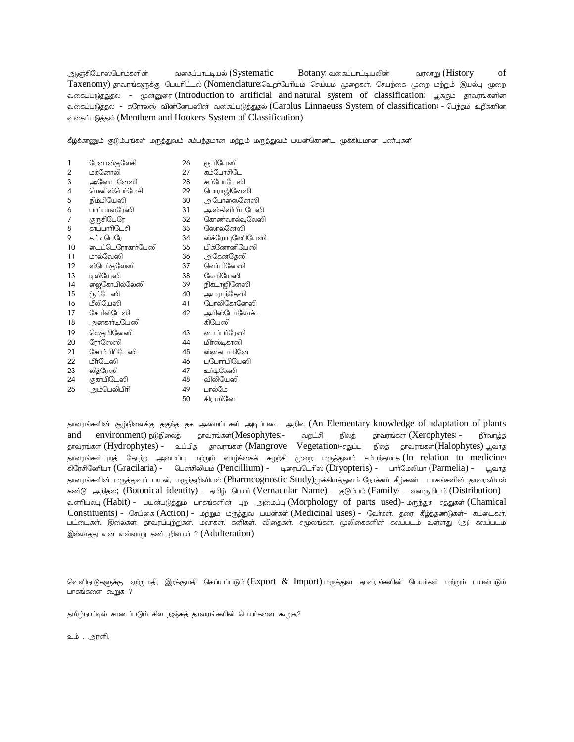வகைப்பாட்டியல் (Systematic Botany) வகைப்பாட்டியலின் வரலாறு (History of ஆஞ்சியோஸ்பொ்ம்களின் Taxenomy) தாவரங்களுக்கு பெயரிட்டல் (Nomenclature)உறாபோியம் செய்யும் முறைகள், செயற்கை முறை மற்றும் இயல்பு முறை வகைப்படுத்துதல் - முன்னுரை (Introduction to artificial and natural system of classification) பூக்கும் தாவரங்களின் வகைப்படுத்தல் - கரோலஸ் வின்னேயஸின் வகைப்படுத்துதல் (Carolus Linnaeuss System of classification) - பெந்தம் உறீக்கரின் வகைப்படுத்தல் (Menthem and Hookers System of Classification)

கீழ்க்காணும் குடும்பங்கள் மருத்துவம் சம்பந்தமான மற்றும் மருத்துவம் பயன்கொண்ட முக்கியமான பண்புகள்

| 1  | ரேனான்குலேசி     | 26 | ரூபியேஸி         |
|----|------------------|----|------------------|
| 2  | மக்னோலி          | 27 | கம்போசிடே        |
| 3  | அனோ னேஸி         | 28 | கப்போடேஸி        |
| 4  | மெனிஸ்பெர்மேசி   | 29 | டொராஜினேஸி       |
| 5  | நிம்பியேஸி       | 30 | அபோஸைனேஸி        |
| 6  | பாப்பாவரேஸி      | 31 | அஸ்கிளிபியடேஸி   |
| 7  | குருசிபேரே       | 32 | கொண்வால்வுலேஸி   |
| 8  | காப்பாரிடேசி     | 33 | ஸொலனேஸி          |
| 9  | கட்டிபெரே        | 34 | ஸ்க்ரோபுலேரியேஸி |
| 10 | டைப்டெரோகாா்பேஸி | 35 | பிக்னோனியேஸி     |
| 11 | மால்வேஸி         | 36 | அகேனதேஸி         |
| 12 | ஸ்டெர்குலேஸி     | 37 | வொ்பினேஸி        |
| 13 | டிலியேஸி         | 38 | லேமியேஸி         |
| 14 | றைகோபில்லேஸி     | 39 | நிக்டாஜினேஸி     |
| 15 | ர்நட்டேஸி        | 40 | அமராந்தேஸி       |
| 16 | மீலியேஸி         | 41 | போலிகோனேஸி       |
| 17 | சேபின்டேஸி       | 42 | அரிஸ்டோலோக்–     |
| 18 | அனகாா்டியேஸி     |    | கியேஸி           |
| 19 | லெகுமினேஸி       | 43 | பைப்பர்ரேஸி      |
| 20 | ரோஸேஸி           | 44 | மிா்ஸ்டிகாஸி     |
| 21 | கோம்பிரிடேஸி     | 45 | ஸ்கைடாமினே       |
| 22 | மிா்டேஸி         | 46 | புபோா்பியேஸி     |
| 23 | லித்ரேஸி         | 47 | உா்டிகேஸி        |
| 24 | குகா்பிடேஸி      | 48 | விலியேஸி         |
| 25 | அம்பெலிபிரி      | 49 | பால்மே           |
|    |                  | 50 | கிராமினே         |
|    |                  |    |                  |

தாவரங்களின் சூழ்நிலைக்கு தகுந்த தக அமைப்புகள் அடிப்படை அறிவு (An Elementary knowledge of adaptation of plants and environment) நடுநிலைத் தாவரங்கள்(Mesophytes)-வறட்சி நிலத் தாவரங்கள் ( $Xerophytes$ ) – நீா்வாழ்த் தாவரங்கள் (Hydrophytes) - உப்பித் தாவரங்கள் (Mangrove Vegetation)-சதுப்பு நிலத் தாவரங்கள்(Halophytes) பூவாத் தாவரங்கள் புறத் தோற்ற அமைப்பு மற்றும் வாழ்க்கைக் சுழற்சி முறை மருத்துவம் சும்பந்தமாக (In relation to medicine) கிரேசிலேரியா (Gracilaria) - பென்சிலியம் (Pencillium) - டிரைப்டெரிஸ் (Dryopteris) - பார்மேலியா (Parmelia) - பூவாத் தாவரங்களின் மருத்துவப் பயன், மருந்தறிவியல் (Pharmcognostic Study)முக்கியத்துவம்-நோக்கம் கீழ்கண்ட பாகங்களின் தாவரவியல் கண்டு அறிதல; (Botonical identity) - தமிழ் பெயர் (Vernacular Name) - குடும்பம் (Family) - வளருமிடம் (Distribution) -வளரியல்பு (Habit) - பயன்படுக்கும் பாகங்களின் பற அமைப்பு (Morphology of parts used) - மருந்துச் சக்துகள் (Chamical Constituents) - செய்கை (Action) - மற்றும் மருத்துவ பயன்கள் (Medicinal uses) - வேர்கள். தரை கீழ்த்தண்டுகள்- கட்டைகள். .<br>பட்டைகள். இலைகள். தாவரப்புற்றுகள். மலாகள். கனிகள். விதைகள். சமூலங்கள், மூலிகைகளின் கலப்படம் உள்ளது (அ) கலப்படம இல்லாதது என எவ்வாறு கண்டறிவாய் ? (Adulteration)

வெளிநாடுகளுக்கு ஏற்றுமதி, இறக்குமதி செய்யப்படும்(Export & Import) மருத்துவ தாவரங்களின் பெயர்கள் மற்றும் பயன்படும் பாகங்களை கூறுக ?

தமிழ்நாட்டில் காணப்படும் சில நஞ்சுத் தாவரங்களின் பெயர்களை கூறுக,?

உம் , அரளி,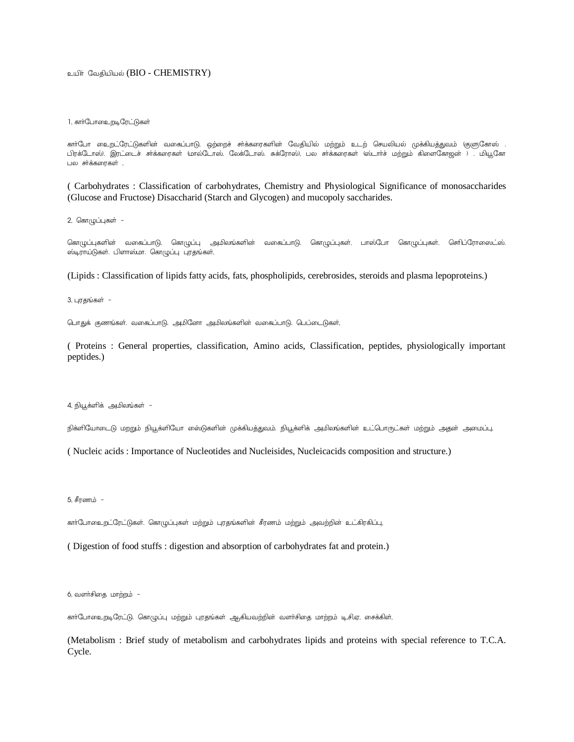## உயிர் வேதியியல் (BIO - CHEMISTRY)

### 1, கார்போஉைறடிரேட்டுகள்

காா்போ உைறட்ரேட்டுகளின் வகைப்பாடு. ஒற்றைச் சா்க்கரைகளின் வேதியில் மற்றும் உடற் செயலியல் முக்கியத்துவம் (குளுகோஸ் . பிரக்டோஸ். இரட்டைச் சர்க்கரைகள் மால்டோஸ். லேக்டோஸ். சுக்ரோஸ், பல சர்க்கரைகள் (ஸ்டார்ச் மற்றும் கிளைகோஜன் ) . மியூகோ பல சர்க்கரைகள் ,

( Carbohydrates : Classification of carbohydrates, Chemistry and Physiological Significance of monosaccharides (Glucose and Fructose) Disaccharid (Starch and Glycogen) and mucopoly saccharides.

2, கொழுப்புகள் -

கொழுப்புகளின் வகைப்பாடு. கொழுப்பு அமிலங்களின் வகைப்பாடு. கொழுப்புகள். பாஸ்போ கொழுப்புகள். செரிப்ரோஸைட்ஸ். ஸ்டிராய்டுகள். பிளாஸ்மா. கொழுப்பு புரதங்கள்,

(Lipids : Classification of lipids fatty acids, fats, phospholipids, cerebrosides, steroids and plasma lepoproteins.)

 $3.$   $\Box$  гу $\Xi$ вы  $\delta$ ы $\dot{\pi}$  -

பொதுக் குணங்கள். வகைப்பாடு. அமினோ அமிலங்களின் வகைப்பாடு. பெப்டைடுகள்,

( Proteins : General properties, classification, Amino acids, Classification, peptides, physiologically important peptides.)

4. நியூக்ளிக் அமிலங்கள் -

நிக்ளியோடைடு மறறும் நியூக்ளியோ ஸை்டுகளின் முக்கியத்துவம். நியூக்ளிக் அமிலங்களின் உட்பொருட்கள் மற்றும் அதன் அமைப்பு,

( Nucleic acids : Importance of Nucleotides and Nucleisides, Nucleicacids composition and structure.)

5, சீரணம் -

கார்போஉைறட்ரேட்டுகள். கொழுப்புகள் மற்றும் புரதங்களின் சீரணம் மற்றும் அவற்றின் உட்கிரகிப்பு,

( Digestion of food stuffs : digestion and absorption of carbohydrates fat and protein.)

6, வளர்சிதை மாற்றம் -

கார்போஉைறடிரேட்டு. கொழுப்பு மற்றும் புரதங்கள் ஆகியவற்றின் வளர்சிதை மாற்றம் டி.சி.ஏ, சைக்கிள்,

(Metabolism : Brief study of metabolism and carbohydrates lipids and proteins with special reference to T.C.A. Cycle.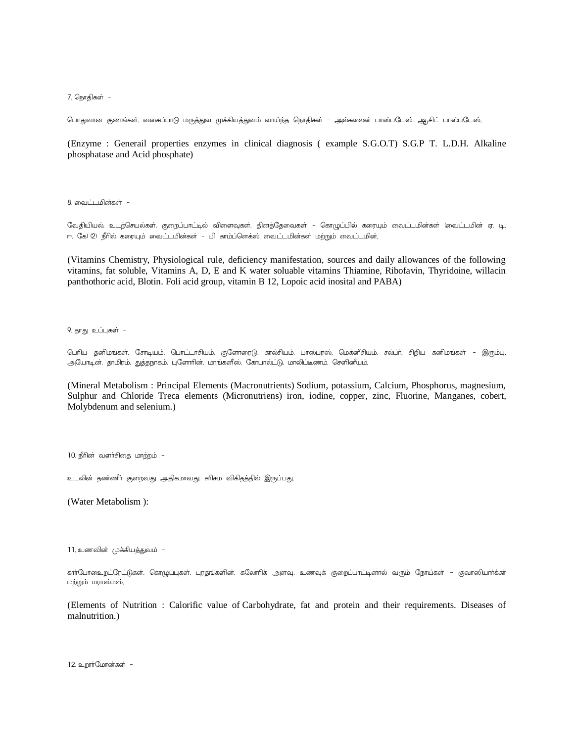7, நொதிகள் –

பொதுவான குணங்கள், வகைப்பாடு மருத்துவ முக்கியத்துவம் வாய்ந்த நொதிகள் – அல்கலைன் பாஸ்படேஸ். ஆ<sub>ர</sub>சிட் பாஸ்படேஸ்,

(Enzyme : Generail properties enzymes in clinical diagnosis ( example S.G.O.T) S.G.P T. L.D.H. Alkaline phosphatase and Acid phosphate)

8. வைட்டமின்கள் -

வேதியியல். உடற்செயல்கள். குறைப்பாட்டில் விளைவுகள். தினத்தேவைகள் – கொழுப்பில் கரையும் வைட்டமின்கள் 'வைட்டமின் ஏ. டி. ஈ. கே) (2) நீரில் கரையும் வைட்டமின்கள் – பி காம்ப்ளெக்ஸ் வைட்டமின்கள் மற்றும் வைட்டமின்,

(Vitamins Chemistry, Physiological rule, deficiency manifestation, sources and daily allowances of the following vitamins, fat soluble, Vitamins A, D, E and K water soluable vitamins Thiamine, Ribofavin, Thyridoine, willacin panthothoric acid, Blotin. Foli acid group, vitamin B 12, Lopoic acid inosital and PABA)

9, தாது உப்புகள் -

டெரிய தனிமங்கள். சோடியம். பொட்டாசியம். குளோரைடு. கால்சியம். பாஸ்பரஸ். மெக்னீசியம். சல்ப்ா், சிறிய கனிமங்கள் – இரும்பு. அயோடின். தாமிரம். துத்தநாகம். புளோரின். மாங்கனீஸ். கோபால்ட்டு. மாலிப்டீணம். செளினீயம்,

(Mineral Metabolism : Principal Elements (Macronutrients) Sodium, potassium, Calcium, Phosphorus, magnesium, Sulphur and Chloride Treca elements (Micronutriens) iron, iodine, copper, zinc, Fluorine, Manganes, cobert, Molybdenum and selenium.)

 $10.$  நீரின் வளர்சிதை மாற்றம் -

உடலின் தண்ணீா் குறைவது அதிகமாவது. சாிசம விகிதத்தில் இருப்பது,

(Water Metabolism ):

11, உணவின் முக்கியத்துவம் -

காா்போஉைறட்ரேட்டுகள். கொழுப்புகள். புரதங்களின். கலோாிக் அளவு. உணவுக் குறைப்பாட்டினால் வரும் நோய்கள் – குவாஸியாா்க்கா் மற்றும் மராஸ்மஸ்,

(Elements of Nutrition : Calorific value of Carbohydrate, fat and protein and their requirements. Diseases of malnutrition.)

12. உறார்மோன்கள் -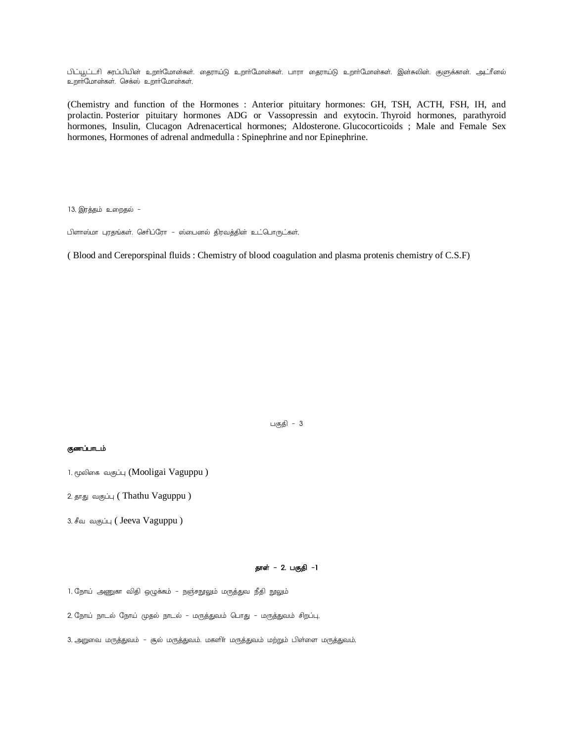பிட்யூட்டரி சுரப்பியின் உறாாமோன்கள். தைராய்டு உறாாமோன்கள். பாரா தைராய்டு உறாாமோன்கள். இன்சுலின். குளுக்கான். அடாீனல் உறாா்மோன்கள். செக்ஸ் உறாா்மோன்கள்,

(Chemistry and function of the Hormones : Anterior pituitary hormones: GH, TSH, ACTH, FSH, IH, and prolactin. Posterior pituitary hormones ADG or Vassopressin and exytocin. Thyroid hormones, parathyroid hormones, Insulin, Clucagon Adrenacertical hormones; Aldosterone. Glucocorticoids ; Male and Female Sex hormones, Hormones of adrenal andmedulla : Spinephrine and nor Epinephrine.

13, இரத்தம் உறைதல் -

பிளாஸ்மா புரதங்கள். செரிப்ரோ – ஸ்பைனல் திரவத்தின் உட்பொருட்கள்,

( Blood and Cereporspinal fluids : Chemistry of blood coagulation and plasma protenis chemistry of C.S.F)

பகுதி -  $3$ 

### குணப்பாடம்

3, சீவ வகுப்பு ( Jeeva Vaguppu )

## தாள் - 2. பகுதி -1

1, நோய் அணுகா விதி ஒழுக்கம் – நஞ்சநூலும் மருத்துவ நீதி நூலும்

2, நோய் நாடல் நோய் முதல் நாடல் - மருத்துவம் பொது - மருத்துவம் சிறப்பு,

3, அறுவை மருத்துவம் – சூல் மருத்துவம். மகளிா் மருத்துவம் மற்றும் பிள்ளை மருத்துவம்,

<sup>1,</sup> மூலிகை வகுப்பு (Mooligai Vaguppu )

<sup>2,</sup> தாது வகுப்பு ( Thathu Vaguppu )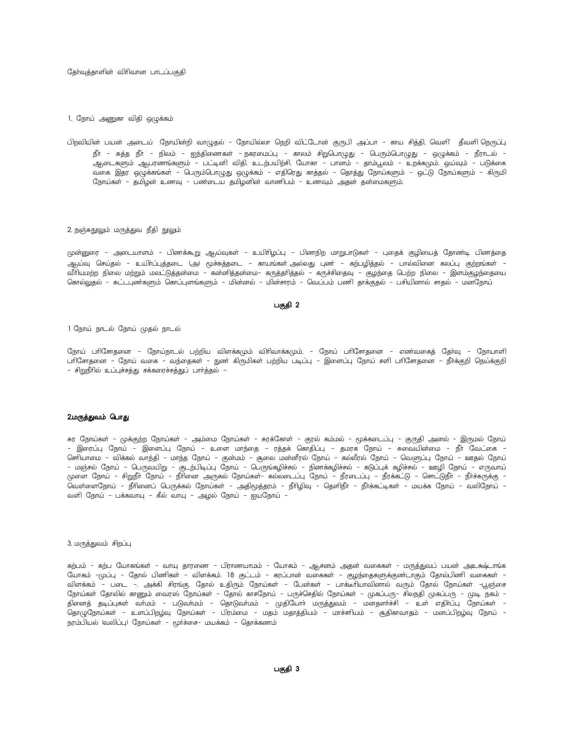தேர்வுத்தாளின் விரிவான பாடப்பகுதி

1, நோய் அணுகா விதி ஒழுக்கம்

பிறவியின் பயன் அடைய் நோயின்றி வாழுதல் – நோயில்லா நெறி விட்டோன் குருபி அப்பா – காய சித்தி, வெளி தீவளி நெருப்ப நீா் – சுத்த நீா் – நிலம் – ஐந்திணைகள் – நகரமைப்பு – காலம் சிறுபொழுது – பெரும்பொழுது – ஒழுக்கம் – நீராடல் – ஆடைகளும் ஆபரணங்களும் – பட்டினி விதி. உடற்பயிற்சி. யோகா – பானம் – தாம்பூலம் – உறக்கமும். ஒய்வும் – படுக்கை வகை இதர ஒழுக்கங்கள் – பெரும்பொழுது ஒழுக்கம் – எதிரெது காத்தல் – தொத்து நோய்களும் – ஒட்டு நோய்களும் – கிருமி நோய்கள் – தமிழன் உணவு – பண்டைய தமிழனின் வாணிபம் – உணவும் அதன் தன்மைகளும்.

### 2, நஞ்சுநூலும் மருத்துவ நீதி நூலும்

முன்னுரை – அடையாளம் – பிணக்கூறு ஆய்வுகள் – உயிரிழப்பு – பிணநிற மாறுபாடுகள் – புதைக் குழியைத் தோண்டி பிணத்தை ஆட்டி செய்தல் – உயிா்ப்புத்தடை (அ) மூச்சுத்தடை – காயங்கள் அல்லது புண் – கற்பழித்தல் – பால்வினை கலப்பு குற்றங்கள் – வீாியமற்ற நிலை மற்றும் மலட்டுத்தன்மை – கன்னித்தன்மை– கருத்தாித்தல் – கருச்சிதைவு – குழந்தை பெற்ற நிலை – இளம்குழந்தையை கொல்லகுல் – சுட்டபுண்களும் கொப்புளங்களும் – மின்னல் – மின்சாரம் – வெப்பம் பணி தாக்குதல் – பசியினால் சாகல் – மனநோய

### பகுதி 2

1 நோய் நாடல் நோய் முதல் நாடல்

நோய் பரிசோதனை – நோய்நாடல் பற்றிய விளக்கமும் விரிவாக்கமும், – நோய் பரிசோதனை – எண்வகைத் தேர்வு – நோயாளி பாிசோதனை – நோய் வகை – வந்தைகள் – நுண் கிருமிகள் பற்றிய படிப்பு – இளைப்பு நோய் சளி பாிசோதனை – நீா்க்குறி நெய்க்குறி - சிறுநீரில் உப்புச்சத்து சக்கரைச்சத்துப் பார்த்தல் -

### 2.மருத்துவம் பொது

சுர நோய்கள் – முக்குற்ற நோய்கள் – அம்மை நோய்கள் – சுரக்கோள் – குரல் கம்மல் – மூக்கடைப்பு – குருதி அனல் – இருமல் நோய – இரைப்பு நோய் – இளைப்பு நோய் – உளை மாந்தை – ரத்தக் கொதிப்பு – தமரக நோய் – சுவையின்மை – நீா வேட்கை – செரியாமை – விக்கல் வாந்தி – மாந்த நோய் – குன்மம் – சூலை மன்னீரல் நோய் – கல்லீரல் நோய் – வெளுப்பு நோய் – ஊதல் நோய – மஞ்சல் நோய் – பெருவயிறு – குடற்பிடிப்பு நோய் – பெருங்கழிச்சல் – நிணக்கழிச்சல் – கடுப்புக் கழிச்சல் – ஊழி நோய் – எருவாய் முளை நோய் – சிறுநீா நோய் – நீாினை அருகல் நோய்கள்– கல்லடைப்பு நோய் – நீரடைப்பு – நீரக்கட்டு – சொட்டுநீா – நீாச்சுருக்கு – ் வெள்ளைநோய் – நீரினைப் பெருக்கல் நோய்கள் – அதிமூத்தரம் – நீரிழிவு – தெளிநீா – நீாக்கட்டிகள் – மயக்க நோய் – வலிநோய வளி நோய் – பக்கவாயு – கீல் வாயு – அழல் நோய் – ஐயநோய் –

#### 3, மருத்துவம் சிறப்பு

கற்பம் – கற்ப யோகங்கள் – வாயு தாரணை – பிராணயாமம் – யோகம் – ஆசனம் அதன் வகைகள் – மருத்துவப் பயன் அஉக்ஷ்டாங்க யோகம் -முப்பு – தோல் பிணிகள் – விளக்கம். 18 குட்டம் – கரப்பான் வகைகள் – குழந்தைகளுக்குண்டாகும் தோல்பிணி வகைகள் – விளக்கம் – படை –. அக்கி சிரங்கு. தோல் உதிரும் நோய்கள் – பேன்கள் – பாக்டீாியாவினால் வரும் தோல் நோய்கள் –பூஞ்சை நோய்கள் தோலில் காணும் வைரஸ் நோய்கள் – தோல் காசநோய் – பருச்செதில் நோய்கள் – முகப்பரு– சிலநதி முகப்பரு – முடி நகம் – தினைத் தடிப்புகள் வாமம் – படுவாமம் – தொடுவாமம் – முதியோா மருத்துவம் – மனதளாச்சி – உள் எதிா்ப்பு நோய்கள் – நொழுநோப்கள் – உளப்பிறழ்வு நோய்கள் – பிரம்மை – மதம் மதாத்தியம் – மாச்சுரியம் – சூதிகாவாதம் – மனப்பிறழ்வு நோய் – நரம்பியல் (வலிப்பு) நோய்கள் – மூா்ச்சை– மயக்கம் – தொக்கணம்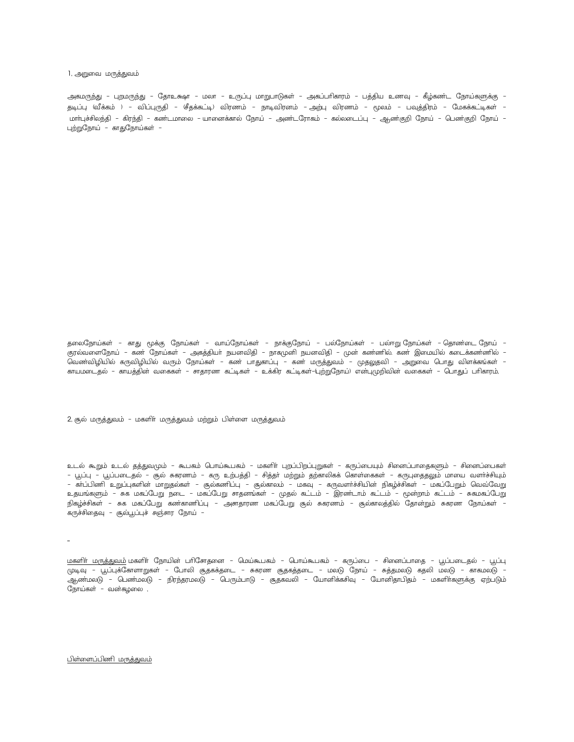1, அறுவை மருத்துவம்

அகமருந்து – புறமருந்து – தோஉக்ஷா – மலா – உருப்பு மாறுபாடுகள் – அகப்பரிகாரம் – பத்திய உணவு – கீழ்கண்ட நோய்களுக்கு – தடிப்பு (வீக்கம் ) – விப்புருதி – (சீதக்கட்டி) விரணம் – நாடிவிரனம் – அற்பு விரணம் – மூலம் – பவுத்திரம் – மேகக்கட்டிகள் – மாா்புச்சிலந்தி – கிரந்தி – கண்டமாலை – யானைக்கால் நோய் – அண்டரோகம் – கல்லடைப்பு – ஆண்குறி நோய் – பெண்குறி நோய் – புற்றுநோய் – காதுநோய்கள் –

தலைநோய்கள் – காது மூக்கு நோய்கள் – வாய்நோய்கள் – நாக்குநோய் – பல்நோய்கள் – பல்ஈறு நோய்கள் – தொண்டை நோய் – குரல்வளைநோய் – கண் நோய்கள் – அகத்தியா் நயனவிதி – நாகமுனி நயனவிதி – முன் கண்ணில் கண் இமையில் கடைக்கண்ணில் – வெண்விழியில் கருவிழியில் வரும் நோய்கள் – கண் பாதுகாப்பு – கண் மருத்துவம் – முதலுதவி – அறுவை பொது விளக்கங்கள் – காயமடைதல் – காயத்தின் வகைகள் – சாதாரண கட்டிகள் – உக்கிர கட்டிகள்–டிற்றுநோய்) என்புமுறிவின் வகைகள் – பொதுப் பாிகாரம்

2, சூல் மருத்துவம் - மகளிா் மருத்துவம் மற்றும் பிள்ளை மருத்துவம்

உடல் கூறும் உடல் தத்துவமும் – கூபகம் பொய்கூபகம் – மகளிா் புறப்பிறப்புறுகள் – கருப்பையும் சினைப்பாதைகளும் – சினைப்பைகள் – பூப்பு – பூப்படைதல் – சூல் சுகரணம் – கரு உற்பத்தி – சித்தா் மற்றும் தற்காலிகக் கொள்கைகள் – கருபுதைதலும் மாயை வளா்ச்சியும் – கா்ப்பிணி உறுப்புகளின் மாறுதல்கள் – சூல்கணிப்பு – சூல்காலம் – மகவு – கருவளா்ச்சியின் நிகழ்ச்சிகள் – மகப்பேறும் வெவ்வேறு உதயங்களும் – சுக மகப்பேறு நடை – மகப்பேறு சாதனங்கள் – முதல் கட்டம் – இரண்டாம் கட்டம் – மூன்றாம் கட்டம் – சுகமகப்பேறு நிகழ்ச்சிகள் – சுக மகப்பேறு கண்காணிப்பு – அசாதாரண மகப்பேறு சூல் சுகரணம் – சூல்காலத்தில் தோன்றும் சுகரண நோய்கள் – கருச்சிதைவு – சூல்பூப்புச் சஞ்சார நோய் –

<u>மகளிா் மருத்துவம்</u> மகளிா் நோயின் பாிசோதனை – மெய்கூபகம் – பொய்கூபகம் – கருப்பை – சினைப்பாதை – பூப்படைதல் – பூப்பு முடிவு – பூப்புக்கோளாறுகள் – போலி சூதகக்தடை – சுகரண சூதகத்தடை – மலடு நோய் – சுத்தமலடு கதலி மலடு – காகமலடு – ஆண்மலடு - பெண்மலடு - நிரந்தரமலடு - பெரும்பாடு - சூதகவலி - யோனிக்கசிவு - யோனிதாபிதம் - மகளிா்களுக்கு ஏற்படும் நோய்கள் – வன்கழலை ,

பிள்ளைப்பிணி மருத்துவம்